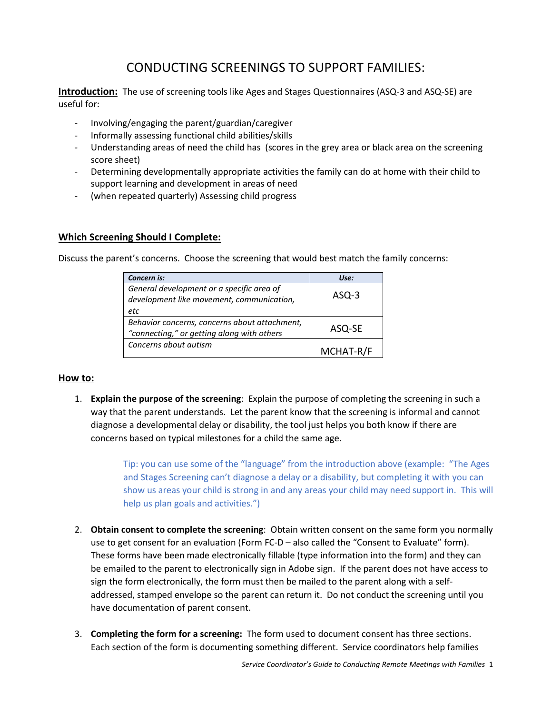# CONDUCTING SCREENINGS TO SUPPORT FAMILIES:

**Introduction:** The use of screening tools like Ages and Stages Questionnaires (ASQ-3 and ASQ-SE) are useful for:

- Involving/engaging the parent/guardian/caregiver
- Informally assessing functional child abilities/skills
- Understanding areas of need the child has (scores in the grey area or black area on the screening score sheet)
- Determining developmentally appropriate activities the family can do at home with their child to support learning and development in areas of need
- (when repeated quarterly) Assessing child progress

# **Which Screening Should I Complete:**

Discuss the parent's concerns. Choose the screening that would best match the family concerns:

| Concern is:                                                                            | Use:      |
|----------------------------------------------------------------------------------------|-----------|
| General development or a specific area of<br>development like movement, communication, | $ASQ-3$   |
| etc                                                                                    |           |
| Behavior concerns, concerns about attachment,                                          |           |
| "connecting," or getting along with others                                             | ASQ-SE    |
| Concerns about autism                                                                  | MCHAT-R/F |

# **How to:**

1. **Explain the purpose of the screening**: Explain the purpose of completing the screening in such a way that the parent understands. Let the parent know that the screening is informal and cannot diagnose a developmental delay or disability, the tool just helps you both know if there are concerns based on typical milestones for a child the same age.

> Tip: you can use some of the "language" from the introduction above (example: "The Ages and Stages Screening can't diagnose a delay or a disability, but completing it with you can show us areas your child is strong in and any areas your child may need support in. This will help us plan goals and activities.")

- 2. **Obtain consent to complete the screening**: Obtain written consent on the same form you normally use to get consent for an evaluation (Form FC-D – also called the "Consent to Evaluate" form). These forms have been made electronically fillable (type information into the form) and they can be emailed to the parent to electronically sign in Adobe sign. If the parent does not have access to sign the form electronically, the form must then be mailed to the parent along with a selfaddressed, stamped envelope so the parent can return it. Do not conduct the screening until you have documentation of parent consent.
- 3. **Completing the form for a screening:** The form used to document consent has three sections. Each section of the form is documenting something different. Service coordinators help families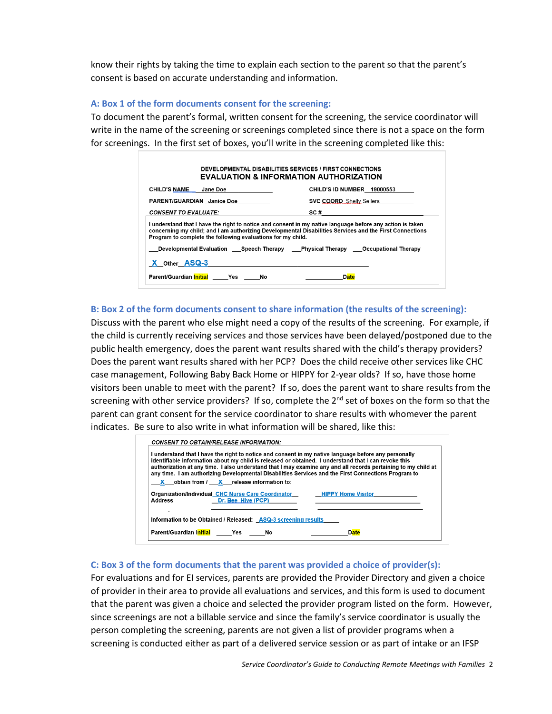know their rights by taking the time to explain each section to the parent so that the parent's consent is based on accurate understanding and information.

#### **A: Box 1 of the form documents consent for the screening:**

To document the parent's formal, written consent for the screening, the service coordinator will write in the name of the screening or screenings completed since there is not a space on the form for screenings. In the first set of boxes, you'll write in the screening completed like this:

| CHILD'S NAME Jane Doe                                       | CHILD'S ID NUMBER 19000553                                                                                                                                                                                           |
|-------------------------------------------------------------|----------------------------------------------------------------------------------------------------------------------------------------------------------------------------------------------------------------------|
| <b>PARENT/GUARDIAN</b> Janice Doe                           | <b>SVC COORD</b> Shelly Sellers                                                                                                                                                                                      |
|                                                             |                                                                                                                                                                                                                      |
| <b>CONSENT TO EVALUATE:</b>                                 | SC #                                                                                                                                                                                                                 |
| Program to complete the following evaluations for my child. | I understand that I have the right to notice and consent in my native language before any action is taken<br>concerning my child; and I am authorizing Developmental Disabilities Services and the First Connections |
|                                                             | Developmental Evaluation Speech Therapy Physical Therapy Occupational Therapy                                                                                                                                        |

# **B: Box 2 of the form documents consent to share information (the results of the screening):**

Discuss with the parent who else might need a copy of the results of the screening. For example, if the child is currently receiving services and those services have been delayed/postponed due to the public health emergency, does the parent want results shared with the child's therapy providers? Does the parent want results shared with her PCP? Does the child receive other services like CHC case management, Following Baby Back Home or HIPPY for 2-year olds? If so, have those home visitors been unable to meet with the parent? If so, does the parent want to share results from the screening with other service providers? If so, complete the  $2^{nd}$  set of boxes on the form so that the parent can grant consent for the service coordinator to share results with whomever the parent indicates. Be sure to also write in what information will be shared, like this:

|                | I understand that I have the right to notice and consent in my native language before any personally<br>identifiable information about my child is released or obtained. I understand that I can revoke this<br>authorization at any time. I also understand that I may examine any and all records pertaining to my child at<br>any time. I am authorizing Developmental Disabilities Services and the First Connections Program to |
|----------------|--------------------------------------------------------------------------------------------------------------------------------------------------------------------------------------------------------------------------------------------------------------------------------------------------------------------------------------------------------------------------------------------------------------------------------------|
|                | $\mathbf X$ obtain from / $\mathbf X$ release information to:                                                                                                                                                                                                                                                                                                                                                                        |
| <b>Address</b> | <b>Organization/Individual CHC Nurse Care Coordinator</b><br><b>HIPPY Home Visitor</b><br><b>Example 19 Dr. Bee Hive (PCP)</b>                                                                                                                                                                                                                                                                                                       |
| ٠              | Information to be Obtained / Released: ASQ-3 screening results                                                                                                                                                                                                                                                                                                                                                                       |
|                | Parent/Guardian Initial Yes No<br>Dafe                                                                                                                                                                                                                                                                                                                                                                                               |

# **C: Box 3 of the form documents that the parent was provided a choice of provider(s):**

For evaluations and for EI services, parents are provided the Provider Directory and given a choice of provider in their area to provide all evaluations and services, and this form is used to document that the parent was given a choice and selected the provider program listed on the form. However, since screenings are not a billable service and since the family's service coordinator is usually the person completing the screening, parents are not given a list of provider programs when a screening is conducted either as part of a delivered service session or as part of intake or an IFSP